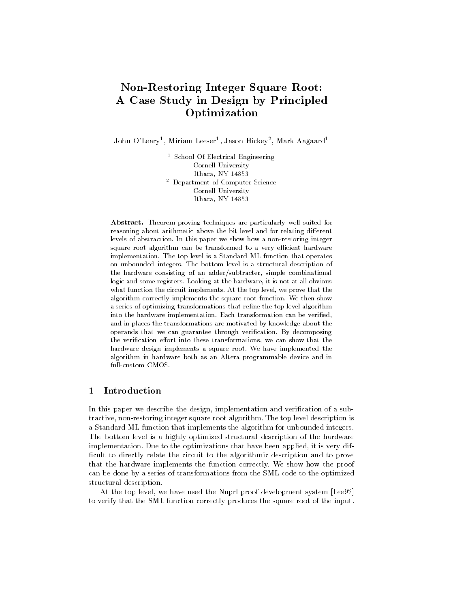# Non-Restoring Integer Square Root: A Case Study in Design by Principled Optimization

John O'Leary<sup>1</sup>, Miriam Leeser<sup>1</sup>, Jason Hickey<sup>2</sup>, Mark Aagaard<sup>1</sup>

<sup>1</sup> School Of Electrical Engineering Cornell University Ithaca, NY 14853 <sup>2</sup> Department of Computer Science Cornell University Ithaca, NY 14853

Abstract. Theorem proving techniques are particularly well suited for reasoning about arithmetic above the bit level and for relating different levels of abstraction. In this paper we show how a non-restoring integer square root algorithm can be transformed to a very efficient hardware implementation. The top level is a Standard ML function that operates on unbounded integers. The bottom level is a structural description of the hardware consisting of an adder/subtracter, simple combinational logic and some registers. Looking at the hardware, it is not at all obvious what function the circuit implements. At the top level, we prove that the algorithm correctly implements the square root function. We then show a series of optimizing transformations that refine the top level algorithm into the hardware implementation. Each transformation can be verified, and in places the transformations are motivated by knowledge about the operands that we can guarantee through verification. By decomposing the verification effort into these transformations, we can show that the hardware design implements a square root. We have implemented the algorithm in hardware both as an Altera programmable device and in full-custom CMOS.

# 1 Introduction

In this paper we describe the design, implementation and verification of a subtractive, non-restoring integer square root algorithm. The top level description is a Standard ML function that implements the algorithm for unbounded integers. The bottom level is a highly optimized structural description of the hardware implementation. Due to the optimizations that have been applied, it is very dif ficult to directly relate the circuit to the algorithmic description and to prove that the hardware implements the function correctly. We show how the proof can be done by a series of transformations from the SML code to the optimized structural description.

At the top level, we have used the Nuprl proof development system [Lee92] to verify that the SML function correctly produces the square root of the input.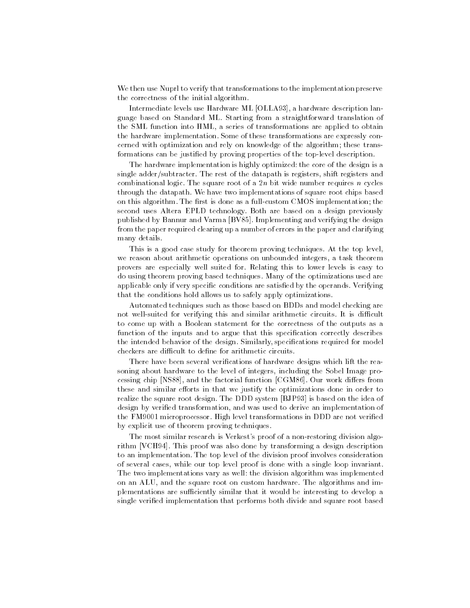We then use Nuprl to verify that transformations to the implementation preserve the correctness of the initial algorithm.

Intermediate levels use Hardware ML [OLLA93], a hardware description language based on Standard ML. Starting from a straightforward translation of the SML function into HML, a series of transformations are applied to obtain the hardware implementation. Some of these transformations are expressly concerned with optimization and rely on knowledge of the algorithm; these transformations can be justied by proving properties of the top-level description.

The hardware implementation is highly optimized: the core of the design is a single adder/subtracter. The rest of the datapath is registers, shift registers and combinational logic. The square root of a  $2n$  bit wide number requires n cycles through the datapath. We have two implementations of square root chips based on this algorithm. The first is done as a full-custom CMOS implementation; the second uses Altera EPLD technology. Both are based on a design previously published by Bannur and Varma [BV85]. Implementing and verifying the design from the paper required clearing up a number of errors in the paper and clarifying many details.

This is a good case study for theorem proving techniques. At the top level, we reason about arithmetic operations on unbounded integers, a task theorem provers are especially well suited for. Relating this to lower levels is easy to do using theorem proving based techniques. Many of the optimizations used are applicable only if very specic conditions are satised by the operands. Verifying that the conditions hold allows us to safely apply optimizations.

Automated techniques such as those based on BDDs and model checking are not well-suited for verifying this and similar arithmetic circuits. It is difficult to come up with a Boolean statement for the correctness of the outputs as a function of the inputs and to argue that this specification correctly describes the intended behavior of the design. Similarly, specifications required for model checkers are difficult to define for arithmetic circuits.

There have been several verifications of hardware designs which lift the reasoning about hardware to the level of integers, including the Sobel Image processing chip [NS88], and the factorial function [CGM86]. Our work differs from these and similar efforts in that we justify the optimizations done in order to realize the square root design. The DDD system [BJP93] is based on the idea of design by verified transformation, and was used to derive an implementation of the FM9001 microprocessor. High level transformations in DDD are not veried by explicit use of theorem proving techniques.

The most similar research is Verkest's proof of a non-restoring division algorithm [VCH94]. This proof was also done by transforming a design description to an implementation. The top level of the division proof involves consideration of several cases, while our top level proof is done with a single loop invariant. The two implementations vary as well: the division algorithm was implemented on an ALU, and the square root on custom hardware. The algorithms and implementations are sufficiently similar that it would be interesting to develop a single veried implementation that performs both divide and square root based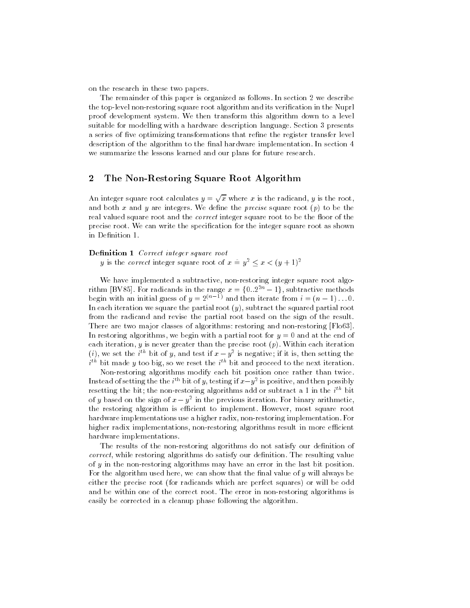on the research in these two papers.

The remainder of this paper is organized as follows. In section 2 we describe the top-level non-restoring square root algorithm and its verication in the Nuprl proof development system. We then transform this algorithm down to a level suitable for modelling with a hardware description language. Section 3 presents a series of five optimizing transformations that refine the register transfer level description of the algorithm to the final hardware implementation. In section 4 we summarize the lessons learned and our plans for future research.

### 2 The Non-Restoring Square Root Algorithm

An integer square root calculates  $y = \sqrt{x}$  where x is the radicand, y is the root, and both x and y are integers. We define the *precise* square root  $(p)$  to be the real valued square root and the *correct* integer square root to be the floor of the precise root. We can write the specication for the integer square root as shown in Definition 1.

#### Definition 1 Correct integer square root

y is the *correct* integer square root of  $x \triangleq y^2 \leq x < (y + 1)^2$ 

We have implemented a subtractive, non-restoring integer square root algorithm [BV85]. For radicands in the range  $x = \{0..2^{2n} - 1\}$ , subtractive methods begin with an initial guess of  $y = 2^{n-1}$  and then iterate from  $i = (n - 1) \dots 0$ . In each iteration we square the partial root  $(y)$ , subtract the squared partial root from the radicand and revise the partial root based on the sign of the result. There are two major classes of algorithms: restoring and non-restoring [Flo63]. In restoring algorithms, we begin with a partial root for  $y = 0$  and at the end of each iteration,  $y$  is never greater than the precise root  $(p)$ . Within each iteration (*i*), we set the  $i^{**}$  bit of  $y$ , and test if  $x - y^{-}$  is negative; if it is, then setting the  $i^{\ldots}$  bit made y too big, so we reset the  $i^{\ldots}$  bit and proceed to the next iteration.

Non-restoring algorithms modify each bit position once rather than twice. Instead of setting the the  $i$  " bit of  $y$ , testing if  $x-y$  is positive, and then possibly resetting the bit; the non-restoring algorithms add or subtract a 1 in the  $i^{\ldots}$  bit of  $y$  based on the sign of  $x-y^\perp$  in the previous iteration. For binary arithmetic, the restoring algorithm is efficient to implement. However, most square root hardware implementations use a higher radix, non-restoring implementation. For higher radix implementations, non-restoring algorithms result in more efficient hardware implementations.

The results of the non-restoring algorithms do not satisfy our definition of correct, while restoring algorithms do satisfy our definition. The resulting value of y in the non-restoring algorithms may have an error in the last bit position. For the algorithm used here, we can show that the final value of  $y$  will always be either the precise root (for radicands which are perfect squares) or will be odd and be within one of the correct root. The error in non-restoring algorithms is easily be corrected in a cleanup phase following the algorithm.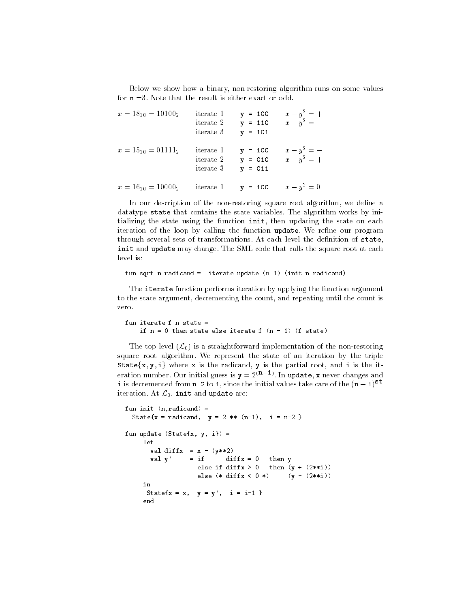Below we show how a binary, non-restoring algorithm runs on some values for  $n = 3$ . Note that the result is either exact or odd.

```
x = 18_{10} = 10100_2 iterate 1 y = 100 x - y^2 = +iterate 2 y = 110 x - y^2 = -iterate 3 \times y = 101x = 15_{10} = 01111_2 iterate 1 y = 100 x - y^2 = -iterate 2 \qquad \gamma = 0.10 \qquad x = y = +iterate 3 \text{ } y = 011
x = 10_{10} = 100002 iterate 1 y - 100 x - y = 0
```
In our description of the non-restoring square root algorithm, we define a datatype state that contains the state variables. The algorithm works by initializing the state using the function init, then updating the state on each iteration of the loop by calling the function update. We refine our program through several sets of transformations. At each level the definition of state, init and update may change. The SML code that calls the square root at each level is:

```
fun sqrt n radicand = iterate update (n-1) (init n radicand)
```
The iterate function performs iteration by applying the function argument to the state argument, decrementing the count, and repeating until the count is zero.

```
if n = 0 then state else iterate f (n - 1) (f state)
```
The top level  $(\mathcal{L}_0)$  is a straightforward implementation of the non-restoring square root algorithm. We represent the state of an iteration by the triple State $\{x, y, i\}$  where x is the radicand, y is the partial root, and i is the iteration number. Our initial guess is  $\gamma = 2^{k-1}$  , in update, x never changes and i is decremented from n-2 to 1, since the initial values take care of the  $(n - 1)$ <sup>st</sup> iteration. At  $\mathcal{L}_0$ , init and update are:

```
fun init (n,radicand) =
 State{x = radicand, y = 2 ** (n-1), i = n-2 }
fun update (State{x, y, i}) =let.val diffx = x - (y**2)val y' = if diffx = 0 then y
                  else if diffx > 0 then (y + (2**i))else (* diffx < 0 *) (y - (2**i))in
     State\{x = x, y = y', i = i-1\}end
```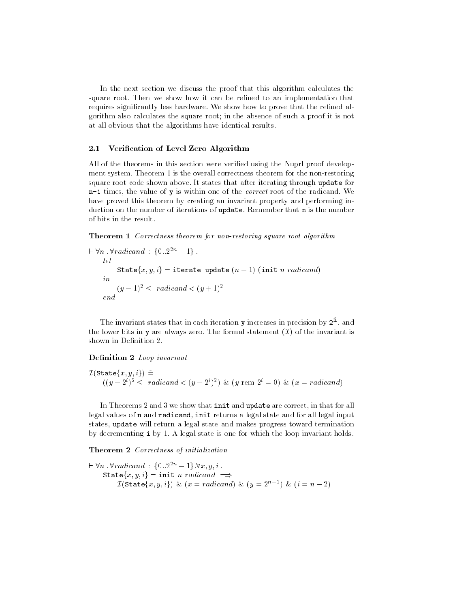In the next section we discuss the proof that this algorithm calculates the square root. Then we show how it can be refined to an implementation that requires significantly less hardware. We show how to prove that the refined algorithm also calculates the square root; in the absence of such a proof it is not at all obvious that the algorithms have identical results.

#### 2.1 Verication of Level Zero Algorithm

All of the theorems in this section were veried using the Nuprl proof develop ment system. Theorem 1 is the overall correctness theorem for the non-restoring square root code shown above. It states that after iterating through update for  $n-1$  times, the value of y is within one of the *correct* root of the radicand. We have proved this theorem by creating an invariant property and performing induction on the number of iterations of update. Remember that n is the number of bits in the result.

Theorem 1 Correctness theorem for non-restoring square root algorithm

```
\vdash \forall n \ldotp \forall radic and : \{0..2^{2n} - 1\}.
         State{x, y, i} = iterate update (n - 1) (init n radicand)
    (y-1)^2 \leq radicand < (y+1)^2end
```
The invariant states that in each iteration  $y$  increases in precision by  $2^-$ , and the lower bits in y are always zero. The formal statement  $(\mathcal{I})$  of the invariant is shown in Definition 2.

Definition 2 Loop invariant

 $\mathcal{I}(\texttt{State}\{x, y, i\}) \triangleq$  $((y-2<sup>i</sup>)<sup>2</sup> \leq radicand < (y+2<sup>i</sup>)<sup>2</sup>) \& (y$  rem  $2<sup>i</sup> = 0) \& (x = radicand)$ 

In Theorems 2 and 3 we show that init and update are correct, in that for all legal values of n and radicand, init returns a legal state and for all legal input states, update will return a legal state and makes progress toward termination by decrementing i by 1. A legal state is one for which the loop invariant holds.

Theorem 2 Correctness of initialization

$$
\forall n. \forall radic and : \{0..2^{2n} - 1\}.\forall x, y, i.
$$
  
\n
$$
\text{State}\{x, y, i\} = \text{init } n \text{ radic and } \implies
$$
  
\n
$$
\mathcal{I}(\text{State}\{x, y, i\}) \& (x = \text{radic and}) \& (y = 2^{n-1}) \& (i = n - 2)
$$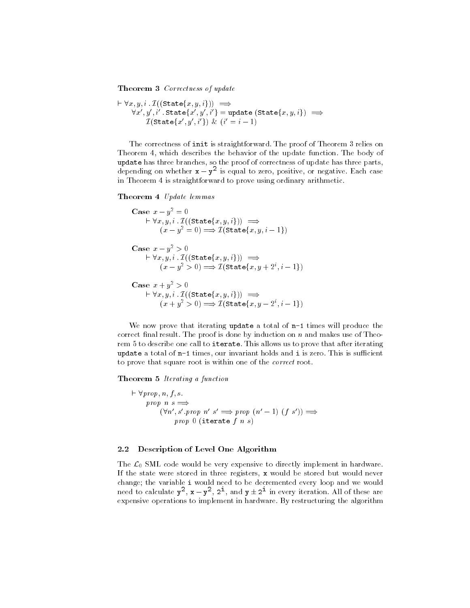Theorem 3 Correctness of update

 $\vdash \forall x, y, i \; . \mathcal{I}((\texttt{State}\{x, y, i\})) \implies$  $\forall x', y', i'$ . State $\{x', y', i'\}$  = update  $(\texttt{State}\{x, y, i\})$  =>  $\mathcal{I}(\texttt{State}\{x', y', i'\})$   $\&$   $(i'=i-1)$ 

The correctness of init is straightforward. The proof of Theorem 3 relies on Theorem 4, which describes the behavior of the update function. The body of update has three branches, so the proof of correctness of update has three parts, depending on whether  $x = y -$  is equal to zero, positive, or negative. Each case  $\overline{\phantom{a}}$ in Theorem 4 is straightforward to prove using ordinary arithmetic.

Theorem 4 Update lemmas

Case  $x - y^2 = 0$  $\vdash \forall x,y,i$  .  $\mathcal{I}((\texttt{State}\{x,y,i\}))\implies$  $(x-y^2=0) \Longrightarrow \mathcal{I}(\texttt{State}\{x,y,i-1\})$ Case  $x - y^2 > 0$  $\vdash \forall x,y,i$  .  $\mathcal{I}((\texttt{State}\{x,y,i\}))\implies$  $(x-y^2>0)\Longrightarrow \mathcal{I}(\texttt{State}\{x,y+2^i,i-1\})$ 

Case  $x + y^2 > 0$  $\vdash \forall x,y,i$  .  $\mathcal{I}((\texttt{State}\{x,y,i\}))\implies$  $(x+y^2>0)\Longrightarrow \mathcal{I}(\texttt{State}\{x,y-2^i,i-1\})$ 

We now prove that iterating update a total of  $n-1$  times will produce the correct final result. The proof is done by induction on  $n$  and makes use of Theorem 5 to describe one call to iterate. This allows us to prove that after iterating update a total of  $n-1$  times, our invariant holds and i is zero. This is sufficient to prove that square root is within one of the correct root.

Theorem 5 Iterating a function

 $\vdash \forall prop, n, f, s.$ prop  $n s \implies$  $(\forall n', s'.\text{ prop } n' s' \Longrightarrow \text{ prop } (n'-1) \ (f s')) \Longrightarrow$  $p \cdot o \cdot p$  0 (it is considered in  $o \cdot p$ 

### 2.2 Description of Level One Algorithm

The  $\mathcal{L}_0$  SML code would be very expensive to directly implement in hardware. If the state were stored in three registers, x would be stored but would never change; the variable i would need to be decremented every loop and we would need to calculate  $y^2$ ,  $x - y^2$ ,  $2^2$ , and  $y \pm 2^2$  in every iteration. All of these are expensive operations to implement in hardware. By restructuring the algorithm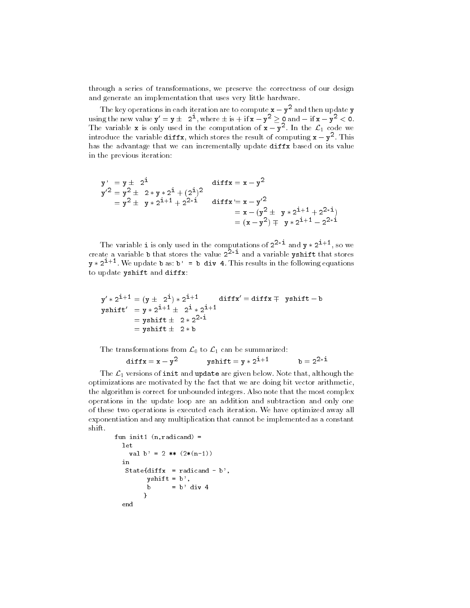through a series of transformations, we preserve the correctness of our design and generate an implementation that uses very little hardware.

The key operations in each iteration are to compute  $x - y$  and then update y<br>using the new value  $y' = y \pm 2^{\frac{1}{2}}$ , where  $\pm$  is  $+$  if  $x - y^2 \ge 0$  and  $-$  if  $x - y^2 < 0$ . The variable **x** is only used in the computation of  $x - y^2$ . In the  $\mathcal{L}_1$  code we introduce the variable  $\mathtt{diffx}$ , which stores the result of computing  $\mathtt{x-y}$  . This has the advantage that we can incrementally update diffx based on its value in the previous iteration:

$$
y' = y \pm 21
$$
  
\n
$$
y'^{2} = y^{2} \pm 2*y*2^{i} + (2^{i})^{2}
$$
  
\n
$$
= y^{2} \pm y*2^{i+1} + 2^{2*1}
$$
  
\n
$$
= x - (y^{2} \pm y*2^{i+1} + 2^{2*1})
$$
  
\n
$$
= (x - y^{2}) \mp y*2^{i+1} - 2^{2*1}
$$

The variable **1** is only used in the computations of  $2^{n+1}$  and  $y * 2^{n+1}$ , so we create a variable **b** that stores the value  $2^{2*1}$  and a variable **yshift** that stores  $y * 2^{++1}$ . We update b as: b' = b div 4. This results in the following equations to update yshift and diffx:

$$
y'*2^{i+1} = (y \pm 2^{i}) * 2^{i+1}
$$
diffx' = diffx  $\mp$  yshift - b  
\n
$$
yshift' = y * 2^{i+1} \pm 2^{i} * 2^{i+1}
$$
  
\n
$$
= yshift \pm 2 * 2^{2 * i}
$$
  
\n
$$
= yshift \pm 2 * b
$$

The transformations from  $\mathcal{L}_0$  to  $\mathcal{L}_1$  can be summarized:

$$
\mathtt{diff} \, x = x - y^2 \qquad \qquad \mathtt{y} \mathtt{shift} = y * 2^{\mathtt{i}+1} \qquad \qquad b = 2^{2*\mathtt{i}}
$$

The  $\mathcal{L}_1$  versions of init and update are given below. Note that, although the optimizations are motivated by the fact that we are doing bit vector arithmetic, the algorithm is correct for unbounded integers. Also note that the most complex operations in the update loop are an addition and subtraction and only one of these two operations is executed each iteration. We have optimized away all exponentiation and any multiplication that cannot be implemented as a constant shift.

```
fun init1 (n, \text{radicand}) =
  1e<sub>1</sub>val b' = 2 ** (2*(n-1))in
   State{diffx = radicand - b',
         yshift = b',b = b' div 4
        ł
         }
  end
```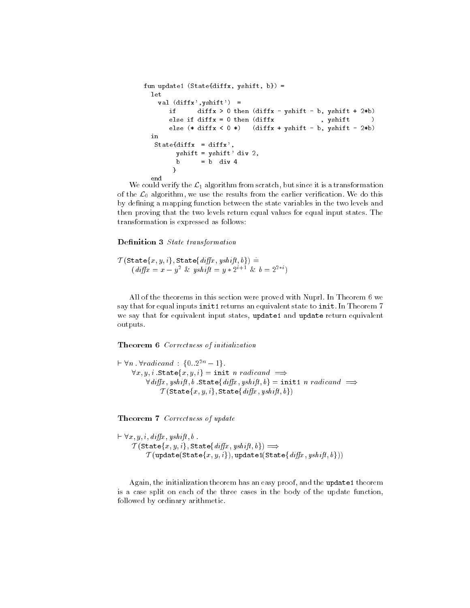```
fun update1 (State{diffx, yshift, b}) =
   val (diffx',yshift') =
       if diffx > 0 then diffx - yshift - b, yshift + 2*belse if diffx = 0 then \left(\text{diffx} \right), yshift )
       else (* diffx (0, *) (diffx + yshift - b, yshift - 2*b)in
  State{diffx = diffx},
        yshift = yshift' div 2,
        b = b div 4
       \mathcal{L}}
```
We could verify the  $\mathcal{L}_1$  algorithm from scratch, but since it is a transformation of the  $\mathcal{L}_0$  algorithm, we use the results from the earlier verification. We do this by defining a mapping function between the state variables in the two levels and then proving that the two levels return equal values for equal input states. The transformation is expressed as follows:

#### Definition 3 State transformation

$$
\mathcal{T}(\texttt{State}\{x,y,i\},\texttt{State}\{\textit{diffx},\textit{yshift},b\}) \ \hat{=} \ \hspace{10pt} (\textit{diffx} = x - y^2 \ \& \ \textit{yshift} = y * 2^{i+1} \ \& \ b = 2^{2*i})
$$

All of the theorems in this section were proved with Nuprl. In Theorem 6 we say that for equal inputs init1 returns an equivalent state to init. In Theorem 7 we say that for equivalent input states, update1 and update return equivalent outputs.

Theorem 6 Correctness of initialization

 $\vdash \forall n \; . \forall radicand : \{0..2^{2n} - 1\}.$  $\forall x, y, i$  State $\{x, y, i\}$  = init n radicand  $\implies$  $\forall \text{diff} x, \text{yshift}, \text{b} \text{.State}\{\text{diff} x, \text{yshift}, \text{b}\} = \text{init1 } n \text{ radical} \implies$  $\mathcal{T}(\texttt{State}\{x,y,i\}, \texttt{State}\{\textit{diff}_x,\textit{yshift},b\})$ 

Theorem 7 Correctness of update

 $\vdash \forall x, y, i, diffx, yshift, b$ .  $\mathcal{T}(\texttt{State}\{x, y, i\}, \texttt{State}\{\textit{diff}_x, \textit{yshift}, b\}) \Longrightarrow$  $\mathcal{T}$ (update(State{ $x, y, i$ }), update1(State{ $diffx, yshift, b$ }))

Again, the initialization theorem has an easy proof, and the update1 theorem is a case split on each of the three cases in the body of the update function, followed by ordinary arithmetic.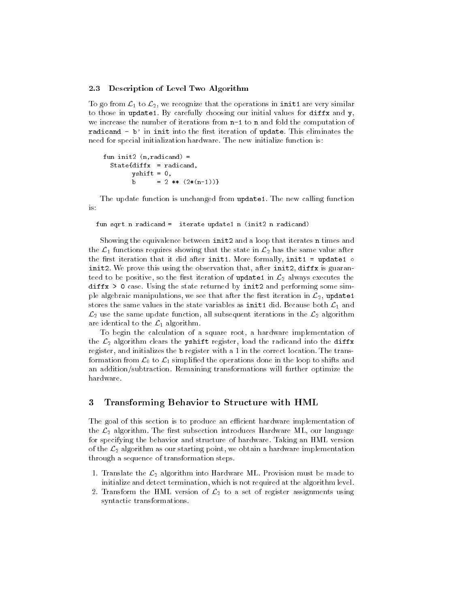#### 2.3 Description of Level Two Algorithm

To go from  $\mathcal{L}_1$  to  $\mathcal{L}_2$ , we recognize that the operations in init1 are very similar to those in update1. By carefully choosing our initial values for diffx and y, we increase the number of iterations from n-1 to n and fold the computation of radicand  $-$  b' in init into the first iteration of update. This eliminates the need for special initialization hardware. The new initialize function is:

fun init2 (n,radicand) = State{diffx = radicand,  $yshift = 0,$  $= 2$  \*\*  $(2*(n-1))$  $<sub>b</sub>$ </sub>

The update function is unchanged from update1. The new calling function is:

fun sqrt n radicand = iterate update1 n (init2 n radicand)

Showing the equivalence between init2 and a loop that iterates n times and the  $\mathcal{L}_1$  functions requires showing that the state in  $\mathcal{L}_2$  has the same value after the first iteration that it did after init1. More formally, init1 = update1  $\circ$ init2. We prove this using the observation that, after init2, diffx is guaranteed to be positive, so the first iteration of update1 in  $\mathcal{L}_2$  always executes the diffx  $> 0$  case. Using the state returned by init2 and performing some simple algebraic manipulations, we see that after the first iteration in  $\mathcal{L}_2$ , update1 stores the same values in the state variables as initided. Because both  $\mathcal{L}_1$  and  $\mathcal{L}_2$  use the same update function, all subsequent iterations in the  $\mathcal{L}_2$  algorithm are identical to the  $\mathcal{L}_1$  algorithm.

To begin the calculation of a square root, a hardware implementation of the  $\mathcal{L}_2$  algorithm clears the yshift register, load the radicand into the diffx register, and initializes the b register with a 1 in the correct location. The transformation from  $\mathcal{L}_0$  to  $\mathcal{L}_1$  simplified the operations done in the loop to shifts and an addition/subtraction. Remaining transformations will further optimize the hardware.

#### 3 Transforming Behavior to Structure with HML

The goal of this section is to produce an efficient hardware implementation of the  $\mathcal{L}_2$  algorithm. The first subsection introduces Hardware ML, our language for specifying the behavior and structure of hardware. Taking an HML version of the  $\mathcal{L}_2$  algorithm as our starting point, we obtain a hardware implementation through a sequence of transformation steps.

- 1. Translate the  $\mathcal{L}_2$  algorithm into Hardware ML. Provision must be made to initialize and detect termination, which is not required at the algorithm level.
- 2. Transform the HML version of  $\mathcal{L}_2$  to a set of register assignments using syntactic transformations.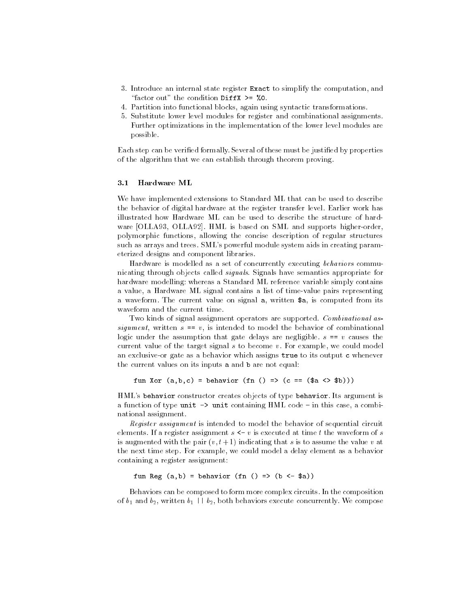- 3. Introduce an internal state register Exact to simplify the computation, and "factor out" the condition  $\text{DiffX} > = \%$ 0.
- 4. Partition into functional blocks, again using syntactic transformations.
- 5. Substitute lower level modules for register and combinational assignments. Further optimizations in the implementation of the lower level modules are possible.

Each step can be veried formally. Several of these must be justied by properties of the algorithm that we can establish through theorem proving.

#### $3.1$ Hardware ML

We have implemented extensions to Standard ML that can be used to describe the behavior of digital hardware at the register transfer level. Earlier work has illustrated how Hardware ML can be used to describe the structure of hard ware [OLLA93, OLLA92]. HML is based on SML and supports higher-order, polymorphic functions, allowing the concise description of regular structures such as arrays and trees. SML's powerful module system aids in creating parameterized designs and component libraries.

Hardware is modelled as a set of concurrently executing behaviors communicating through objects called signals. Signals have semantics appropriate for hardware modelling: whereas a Standard ML reference variable simply contains a value, a Hardware ML signal contains a list of time-value pairs representing a waveform. The current value on signal a, written \$a, is computed from its waveform and the current time.

Two kinds of signal assignment operators are supported. Combinational assignment, written  $s == v$ , is intended to model the behavior of combinational logic under the assumption that gate delays are negligible.  $s == v$  causes the current value of the target signal  $s$  to become  $v$ . For example, we could model an exclusive-or gate as a behavior which assigns true to its output c whenever the current values on its inputs a and b are not equal:

fun Xor  $(a, b, c)$  = behavior  $(\text{fn} () \Rightarrow (c == (\text{a} << \text{fb})))$ 

HML's behavior constructor creates objects of type behavior. Its argument is a function of type unit  $\rightarrow$  unit containing HML code - in this case, a combinational assignment.

 $R$ egister assignment is intended to model the behavior of sequential circuit elements. If a register assignment  $s \leftarrow v$  is executed at time t the waveform of s is augmented with the pair  $(v, t+1)$  indicating that s is to assume the value v at the next time step. For example, we could model a delay element as a behavior containing a register assignment:

### fun Reg  $(a,b)$  = behavior (fn  $()$  =>  $(b < -$  \$a))

Behaviors can be composed to form more complex circuits. In the composition of  $b_1$  and  $b_2$ , written  $b_1$  ||  $b_2$ , both behaviors execute concurrently. We compose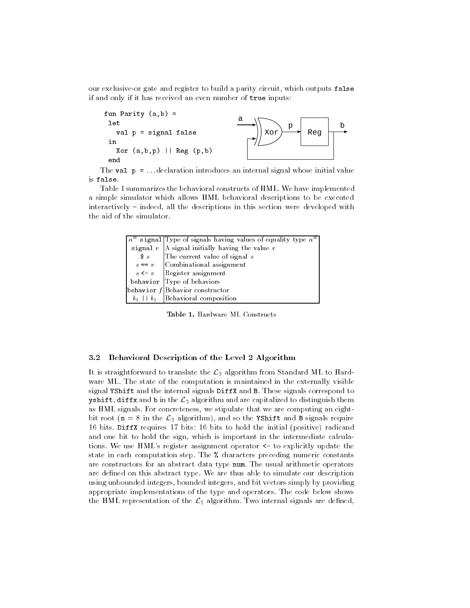our exclusive-or gate and register to build a parity circuit, which outputs false if and only if it has received an even number of true inputs:



The val  $p = \ldots$  declaration introduces an internal signal whose initial value is false.

Table 1 summarizes the behavioral constructs of HML. We have implemented a simple simulator which allows HML behavioral descriptions to be executed interactively - indeed, all the descriptions in this section were developed with the aid of the simulator.

| $\alpha$ <sup>=</sup> signal Type of signals having values of equality type $\alpha$ <sup>=</sup> |  |
|---------------------------------------------------------------------------------------------------|--|
| signal $v$  A signal initially having the value $v$                                               |  |
| $\text{\$ }s$ The current value of signal s                                                       |  |
| $s == v$ Combinational assignment                                                                 |  |
| $s \leftarrow v$ Register assignment                                                              |  |
| behavior Type of behaviors                                                                        |  |
| behavior $f$ Behavior constructor                                                                 |  |
| $b_1$   $b_2$ Behavioral composition                                                              |  |

Table 1. Hardware ML Constructs

#### 3.2 Behavioral Description of the Level 2 Algorithm

It is straightforward to translate the  $\mathcal{L}_2$  algorithm from Standard ML to Hardware ML. The state of the computation is maintained in the externally visible signal YShift and the internal signals DiffX and B. These signals correspond to yshift, diffx and b in the  $\mathcal{L}_2$  algorithm and are capitalized to distinguish them as HML signals. For concreteness, we stipulate that we are computing an eightbit root ( $n = 8$  in the  $\mathcal{L}_2$  algorithm), and so the YShift and B signals require 16 bits. DiffX requires 17 bits: 16 bits to hold the initial (positive) radicand and one bit to hold the sign, which is important in the intermediate calculations. We use HML's register assignment operator <- to explicitly update the state in each computation step. The % characters preceding numeric constants are constructors for an abstract data type num. The usual arithmetic operators are defined on this abstract type. We are thus able to simulate our description using unbounded integers, bounded integers, and bit vectors simply by providing appropriate implementations of the type and operators. The code below shows the HML representation of the  $\mathcal{L}_2$  algorithm. Two internal signals are defined,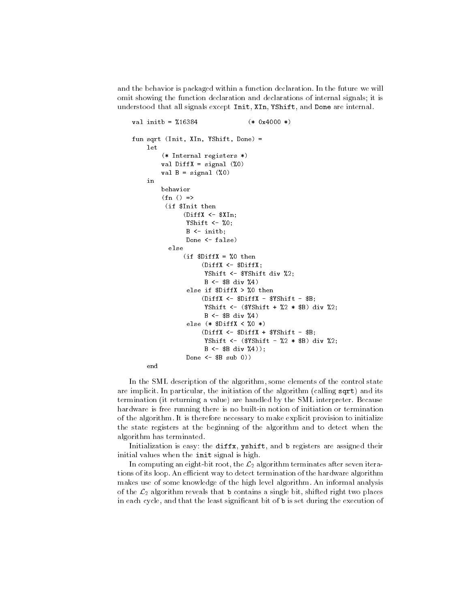and the behavior is packaged within a function declaration. In the future we will omit showing the function declaration and declarations of internal signals; it is understood that all signals except Init, XIn, YShift, and Done are internal.

```
val initb = \frac{1}{4}16384(* 0x4000 *)fun sqrt (Init, XIn, YShift, Done) =
    let
          (* Internal registers *)
         val DiffX = signal (%0)
         val B = signal (\%0)in
         behavior
          (\text{fn}() \Rightarrow(if $Init then
                 (\text{DiffX} \leftarrow \$\text{XIn};YShift \leftarrow %0;
                  B <- initb;
                  Done <- false)
            else
                 (if DiffX = %0 then(DiffX <- $DiffX;
                        YShift <- $YShift div %2;
                        B \leftarrow \$B div \%4)
                  else if $DiffX > %0 then
                       (DiffX \leftarrow $DiffX - $YShift - $B;YShift <- (\$YShift + \%2 * \$B) div %2;B \leftarrow \$B div \%4)
                  else (* DiffX < %0 *)
                       (DiffX \leftarrow $DiffX + $YShift - $B;YShift <- (\$YShift - \%2 * \$B) div %2;B \leftarrow \$B div \frac{9}{4});
                  Done <- $B sub 0))
     end
```
In the SML description of the algorithm, some elements of the control state are implicit. In particular, the initiation of the algorithm (calling sqrt) and its termination (it returning a value) are handled by the SML interpreter. Because hardware is free running there is no built-in notion of initiation or termination of the algorithm. It is therefore necessary to make explicit provision to initialize the state registers at the beginning of the algorithm and to detect when the algorithm has terminated.

Initialization is easy: the diffx, yshift, and b registers are assigned their initial values when the init signal is high.

In computing an eight-bit root, the  $\mathcal{L}_2$  algorithm terminates after seven iterations of its loop. An efficient way to detect termination of the hardware algorithm makes use of some knowledge of the high level algorithm. An informal analysis of the  $\mathcal{L}_2$  algorithm reveals that b contains a single bit, shifted right two places in each cycle, and that the least signicant bit of b is set during the execution of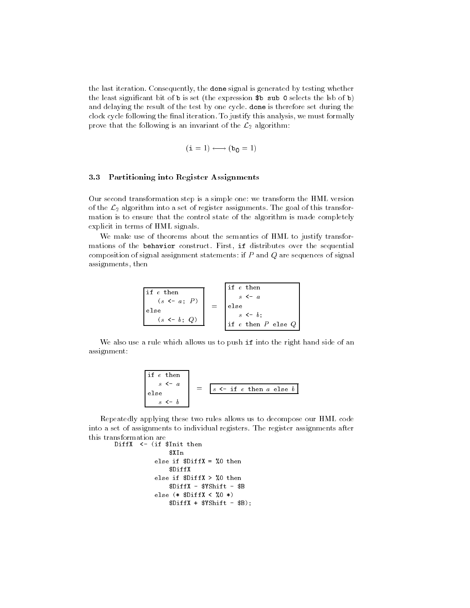the last iteration. Consequently, the done signal is generated by testing whether the least signicant bit of b is set (the expression \$b sub 0 selects the lsb of b) and delaying the result of the test by one cycle. done is therefore set during the clock cycle following the final iteration. To justify this analysis, we must formally prove that the following is an invariant of the  $\mathcal{L}_2$  algorithm:

$$
(\mathtt{i} = 1) \longleftrightarrow (\mathtt{b_0} = 1)
$$

#### 3.3 Partitioning into Register Assignments

Our second transformation step is a simple one: we transform the HML version of the  $\mathcal{L}_2$  algorithm into a set of register assignments. The goal of this transformation is to ensure that the control state of the algorithm is made completely explicit in terms of HML signals.

We make use of theorems about the semantics of HML to justify transformations of the behavior construct. First, if distributes over the sequential composition of signal assignment statements: if  $P$  and  $Q$  are sequences of signal assignments, then

| \n $\begin{array}{c}\n \text{if } e \text{ then} \\  (s \leftarrow a; P) \\  \text{else} \\  (s \leftarrow b; Q)\n \end{array}\n =\n \begin{array}{c}\n \text{if } e \text{ then} \\  s \leftarrow a \\  \text{else} \\  s \leftarrow b; \\  \text{if } e \text{ then } P \text{ else } Q\n \end{array}$ \n |
|-------------------------------------------------------------------------------------------------------------------------------------------------------------------------------------------------------------------------------------------------------------------------------------------------------------|
|-------------------------------------------------------------------------------------------------------------------------------------------------------------------------------------------------------------------------------------------------------------------------------------------------------------|

We also use a rule which allows us to push if into the right hand side of an assignment:

if 
$$
e
$$
 then

\n $s \leq a$ 

\nelse

\n $s \leq b$ 

\n $s \leq b$ 

\n $s \leq b$ 

Repeatedly applying these two rules allows us to decompose our HML code into a set of assignments to individual registers. The register assignments after this transformation are

```
DiffX <- (if $Init then
               $XIn
           else if $DiffX = %0 then
               $DiffX
           else if $DiffX > %0 then
               $DiffX - $YShift - $B
           else (* $DiffX < %0 *)
               $DiffX + $YShift - $B);
```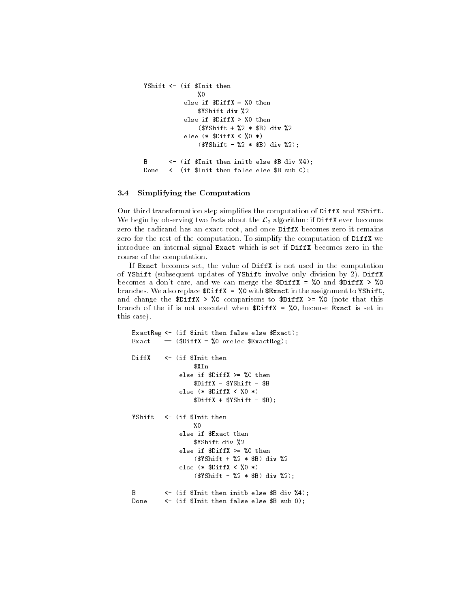```
YShift <- (if $Init then
                \simelse if DiffX = %0 then
                $YShift div %2
           else if $DiffX > %0 then
                ($YShift + %2 * $B) div %2else (* $DiffX < %0 *)
                ($YShift - %2 * $B) div %2;
       \leftarrow (if $Init then initb else $B div %4);
B
       \leftarrow (if $Init then false else $B sub 0);
Done
```
### 3.4 Simplifying the Computation

Our third transformation step simplifies the computation of DiffX and YShift. We begin by observing two facts about the  $\mathcal{L}_2$  algorithm: if DiffX ever becomes zero the radicand has an exact root, and once DiffX becomes zero it remains zero for the rest of the computation. To simplify the computation of DiffX we introduce an internal signal Exact which is set if DiffX becomes zero in the course of the computation.

If Exact becomes set, the value of DiffX is not used in the computation of YShift (subsequent updates of YShift involve only division by 2). DiffX becomes a don't care, and we can merge the  $DiffX = %0$  and  $DiffX > %0$ branches. We also replace  $\text{DiffX} = \text{\%}0$  with  $\text{Exact}$  in the assignment to  $\text{VShift}$ , and change the  $DiffX > %0$  comparisons to  $DiffX > %0$  (note that this branch of the if is not executed when  $DiffX = %0$ , because Exact is set in this case).

```
ExactReg <- (if $init then false else $Exact);
Exact == ($DiffX = %0 \text{ orelse } $ExactReg);DiffX <- (if $Init then
                  $XIn
              else if $DiffX >= %0 then
                  $DiffX - $YShift - $B
              else (* DiffX < 0 *$DiffX + $YShift - $B);YShift \leftarrow (if $Init then
                  %0
              else if $Exact then
                  $YShift div %2
              else if $DiffX >= %0 then
                  ($YShift + %2 * $B) div %2
              else (* $DiffX < %0 *)
                  ($YShift - %2 * $B) div %2);\leftarrow (if $Init then initb else $B div %4);
\bf{B}Done
         \leftarrow (if $Init then false else $B sub 0);
```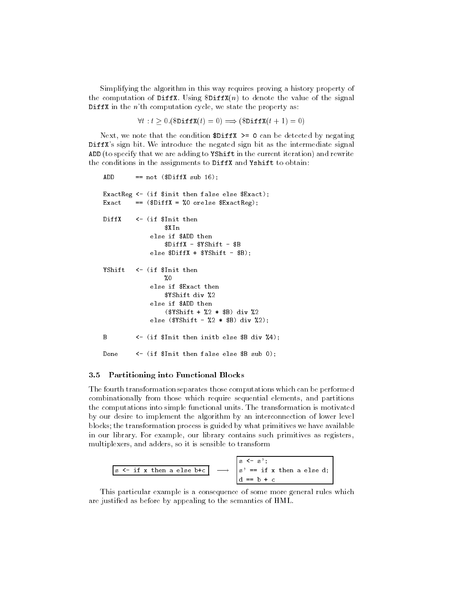Simplifying the algorithm in this way requires proving a history property of the computation of DiffX. Using  $DiffX(n)$  to denote the value of the signal **DiffX** in the  $n$ 'th computation cycle, we state the property as:

 $\forall t : t > 0.$ (\$DiffX(t) = 0)  $\implies$  (\$DiffX(t+1) = 0)

Next, we note that the condition  $\text{DiffX} > = 0$  can be detected by negating DiffX's sign bit. We introduce the negated sign bit as the intermediate signal ADD (to specify that we are adding to YShift in the current iteration) and rewrite the conditions in the assignments to DiffX and Yshift to obtain:

```
ADD = not (DiffX sub 16);
ExactReg <- (if $init then false else $Exact);
Exact == ($DiffX = % 0 \text{ or} else $ExactReg);DiffX
        \leftarrow (if \text{\$Init} then
                 $XIn$XIn
             else if $ADD then
                 $DiffX - $YShift - $B
             else $DiffX + $YShift - $B);
YShift \leq (if $Init then
                %0
             else if $Exact then
                 $YShift div %2
             else if $ADD then
                 ($YShift + %2 * $B) div %2
             else ($YShift - %2 * $B) div %2);B <- (if $Init then initb else $B div %4);
Done <- (if $Init then false else $B sub 0);
```
#### 3.5 Partitioning into Functional Blocks

The fourth transformation separates those computations which can be performed combinationally from those which require sequential elements, and partitions the computations into simple functional units. The transformation is motivated by our desire to implement the algorithm by an interconnection of lower level blocks; the transformation process is guided by what primitives we have available in our library. For example, our library contains such primitives as registers, multiplexers, and adders, so it is sensible to transform



This particular example is a consequence of some more general rules which are justied as before by appealing to the semantics of HML.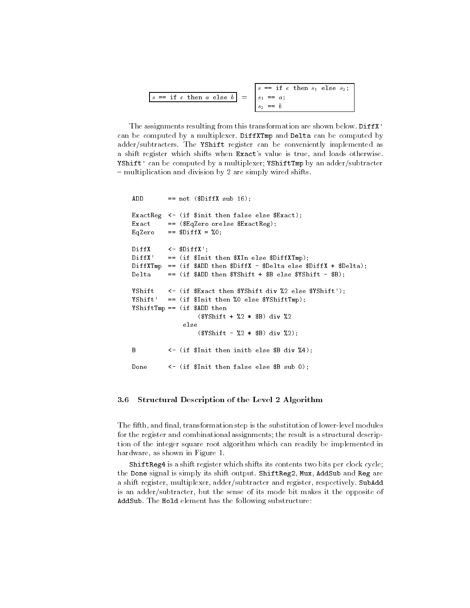|                                             | $s == if e then s_1 else s_2$ : |
|---------------------------------------------|---------------------------------|
| $ s  =$ if e then a else $b  =  s_1  = a$ ; |                                 |
|                                             | $=$ $=$ $\Box$                  |

s2 == <sup>b</sup>

The assignments resulting from this transformation are shown below. DiffX' can be computed by a multiplexer. DiffXTmp and Delta can be computed by adder/subtracters. The YShift register can be conveniently implemented as a shift register which shifts when Exact's value is true, and loads otherwise. YShift' can be computed by a multiplexer; YShiftTmp by an adder/subtracter - multiplication and division by 2 are simply wired shifts.

```
ADD == \text{not} (\$DiffX \text{ sub } 16);ExactReg <- (if $init then false else $Exact);
Exact == ($EqZero orelse $ExactReg);
EqZero == Diffx = %0;DiffX <- $DiffX';
DiffX' == (if $Init then $XIn else $DiffXTmp);
DiffXTmp == (if $ADD then $DiffX - $Delta else $DiffX + $Delta);
         == (if $ADD then $YShift + $B else $YShift - $B);
Delta
YShift <- (if $Exact then $YShift div %2 else $YShift');
YShift' == (if $Init then %0 else $YShiftTmp);
YShiftTmp == (if $ADD then($YShift + %2 * $B) div %2
             else
                 ($YShift - %2 * $B) div %2);B <- (if $Init then initb else $B div %4);
Done <- (if $Init then false else $B sub 0);
```
#### 3.6 Structural Description of the Level 2 Algorithm

The fifth, and final, transformation step is the substitution of lower-level modules for the register and combinational assignments; the result is a structural description of the integer square root algorithm which can readily be implemented in hardware, as shown in Figure 1.

ShiftReg4 is a shift register which shifts its contents two bits per clock cycle; the Done signal is simply its shift output. ShiftReg2, Mux, AddSub and Reg are a shift register, multiplexer, adder/subtracter and register, respectively. SubAdd is an adder/subtracter, but the sense of its mode bit makes it the opposite of AddSub. The Hold element has the following substructure: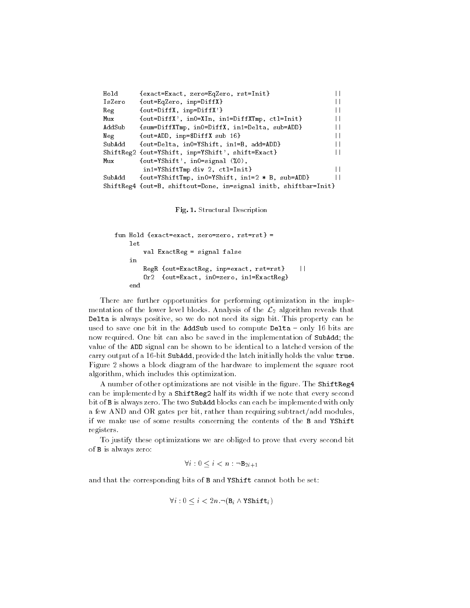```
Hold {exact=Exact, zero=EqZero, rst=Init} ||
       \{out = EqZero, inp = DiffX\} ||
IsZero
Reg {out=DiffX, inp=DiffX'} ||
Mux {out=DiffX', in0=XIn, in1=DiffXTmp, ctl=Init} ||
AddSub {sum=DiffXTmp, in0=DiffX, in1=Delta, sub=ADD} ||
Neg {out=ADD, inp=DiffX sub 16} ||
       \{out=Delta, in0=YShift, in1=B, add=ADD\}SubAdd
ShiftReg2 {out=YShift, inp=YShift', shift=Exact} ||
Mux {out=YShift', in0=signal (%0),
        in1=YShiftTmp div 2, ctl=Init}
       \{out=YShiftTmp, in0=YShift, in1=2 * B, sub=ADD\}\mathbf{1}SubAdd
ShiftReg4 {out=B, shiftout=Done, in=signal initb, shiftbar=Init}
```
Fig. 1. Structural Description

```
fun Hold {exact=exact, zero=zero, rst=rst} =
    let
        val ExactReg = signal false
    in
        RegR {out=ExactReg, inp=exact, rst=rst} ||
        Or2 {out=Exact, in0=zero, in1=ExactReg}
    end
```
There are further opportunities for performing optimization in the imple mentation of the lower level blocks. Analysis of the  $\mathcal{L}_2$  algorithm reveals that Delta is always positive, so we do not need its sign bit. This property can be used to save one bit in the AddSub used to compute Delta - only 16 bits are now required. One bit can also be saved in the implementation of SubAdd; the value of the ADD signal can be shown to be identical to a latched version of the carry output of a 16-bit SubAdd, provided the latch initially holds the value true. Figure 2 shows a block diagram of the hardware to implement the square root algorithm, which includes this optimization.

A number of other optimizations are not visible in the figure. The ShiftReg4 can be implemented by a ShiftReg2 half its width if we note that every second bit of B is always zero. The two SubAdd blocks can each be implemented with only a few AND and OR gates per bit, rather than requiring subtract/add modules, if we make use of some results concerning the contents of the B and YShift registers.

To justify these optimizations we are obliged to prove that every second bit of B is always zero:

$$
\forall i: 0 \le i < n: \neg \mathbf{B}_{2i+1}
$$

and that the corresponding bits of **B** and YShift cannot both be set:

$$
\forall i: 0 \le i < 2n \neg (\mathtt{B}_i \land \mathtt{YShift}_i)
$$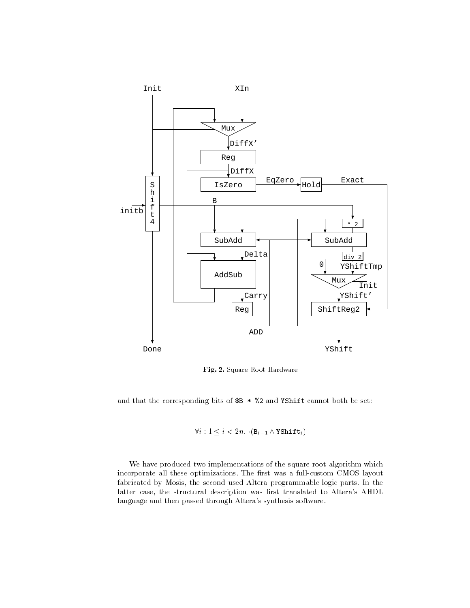

Fig. 2. Square Root Hardware

and that the corresponding bits of  $B * \%2$  and YShift cannot both be set:

$$
\forall i: 1 \le i < 2n \, \neg(\,\mathsf{B}_{i-1} \land \texttt{YShift}_i)
$$

We have produced two implementations of the square root algorithm which incorporate all these optimizations. The first was a full-custom CMOS layout fabricated by Mosis, the second used Altera programmable logic parts. In the latter case, the structural description was first translated to Altera's AHDL language and then passed through Altera's synthesis software.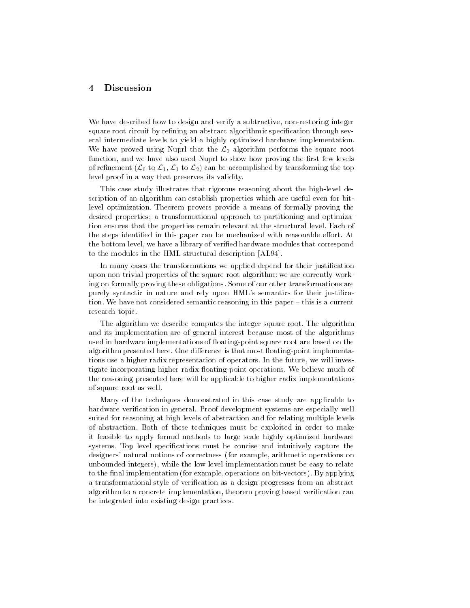#### **Discussion**  $\overline{4}$

We have described how to design and verify a subtractive, non-restoring integer square root circuit by refining an abstract algorithmic specification through several intermediate levels to yield a highly optimized hardware implementation. We have proved using Nuprl that the  $\mathcal{L}_0$  algorithm performs the square root function, and we have also used Nuprl to show how proving the first few levels of refinement ( $\mathcal{L}_0$  to  $\mathcal{L}_1$ ,  $\mathcal{L}_1$  to  $\mathcal{L}_2$ ) can be accomplished by transforming the top level proof in a way that preserves its validity.

This case study illustrates that rigorous reasoning about the high-level description of an algorithm can establish properties which are useful even for bitlevel optimization. Theorem provers provide a means of formally proving the desired properties; a transformational approach to partitioning and optimization ensures that the properties remain relevant at the structural level. Each of the steps identified in this paper can be mechanized with reasonable effort. At the bottom level, we have a library of verified hardware modules that correspond to the modules in the HML structural description [AL94].

In many cases the transformations we applied depend for their justification upon non-trivial properties of the square root algorithm: we are currently working on formally proving these obligations. Some of our other transformations are purely syntactic in nature and rely upon HML's semantics for their justication. We have not considered semantic reasoning in this paper – this is a current research topic.

The algorithm we describe computes the integer square root. The algorithm and its implementation are of general interest because most of the algorithms used in hardware implementations of floating-point square root are based on the algorithm presented here. One difference is that most floating-point implementations use a higher radix representation of operators. In the future, we will investigate incorporating higher radix floating-point operations. We believe much of the reasoning presented here will be applicable to higher radix implementations of square root as well.

Many of the techniques demonstrated in this case study are applicable to hardware verification in general. Proof development systems are especially well suited for reasoning at high levels of abstraction and for relating multiple levels of abstraction. Both of these techniques must be exploited in order to make it feasible to apply formal methods to large scale highly optimized hardware systems. Top level specifications must be concise and intuitively capture the designers' natural notions of correctness (for example, arithmetic operations on unbounded integers), while the low level implementation must be easy to relate to the final implementation (for example, operations on bit-vectors). By applying a transformational style of verication as a design progresses from an abstract algorithm to a concrete implementation, theorem proving based verification can be integrated into existing design practices.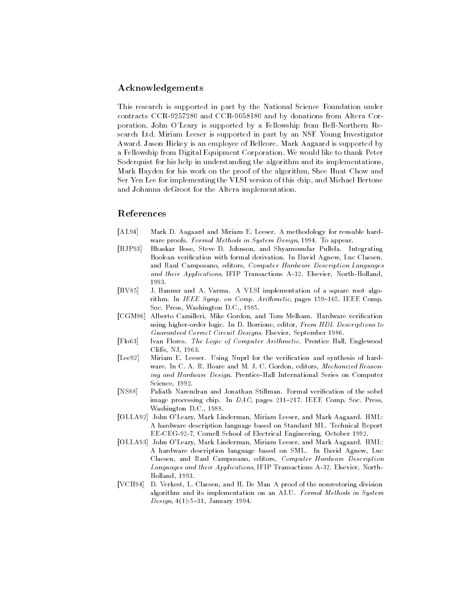# Acknowledgements

This research is supported in part by the National Science Foundation under contracts CCR-9257280 and CCR-9058180 and by donations from Altera Corporation. John O'Leary is supported byaFellowship from Bell-Northern Research Ltd. Miriam Leeser is supported in part by an NSF Young Investigator Award. Jason Hickey is an employee of Bellcore. Mark Aagaard is supported by a Fellowship from Digital Equipment Corporation. We would like to thank Peter Soderquist for his help in understanding the algorithm and its implementations, Mark Hayden for his work on the proof of the algorithm, Shee Huat Chow and Ser Yen Lee for implementing the VLSI version of this chip, and Michael Bertone and Johanna deGroot for the Altera implementation.

# References

- [AL94] Mark D. Aagaard and Miriam E. Leeser. A methodology for reusable hardware proofs. Formal Methods in System Design, 1994. To appear.
- [BJP93] Bhaskar Bose, Steve D. Johnson, and Shyamsundar Pullela. Integrating Boolean verification with formal derivation. In David Agnew, Luc Claesen, and Raul Camposano, editors, Computer Hardware Description Languages and their Applications, IFIP Transactions A-32. Elsevier, North-Holland, 1993.
- [BV85] J. Bannur and A. Varma. A VLSI implementation of a square root algorithm. In IEEE Symp. on Comp. Arithmetic, pages  $159-165$ . IEEE Comp. Soc. Press, Washington D.C., 1985.
- [CGM86] Alberto Camilleri, Mike Gordon, and Tom Melham. Hardware verification using higher-order logic. In D. Borrione, editor, From HDL Descriptions to Guaranteed Correct Circuit Designs. Elsevier, September 1986.
- [Flo63] Ivan Flores. The Logic of Computer Arithmetic. Prentice Hall, Englewood Cliffs, NJ, 1963.
- [Lee92] Miriam E. Leeser. Using Nuprl for the verication and synthesis of hard ware. In C. A. R. Hoare and M. J. C. Gordon, editors, Mechanized Reasoning and Hardware Design. Prentice-Hall International Series on Computer Science. 1992. Science, 1992. In the second control of the second control of the second control of the second control of the
- [NS88] Paliath Narendran and Jonathan Stillman. Formal verification of the sobel image processing chip. In  $DAC$ , pages 211-217. IEEE Comp. Soc. Press, Washington D.C., 1988.
- [OLLA92] John O'Leary, Mark Linderman, Miriam Leeser, and Mark Aagaard. HML: A hardware description language based on Standard ML. Technical Report EE-CEG-92-7, Cornell School of Electrical Engineering, October 1992.
- [OLLA93] John O'Leary, Mark Linderman, Miriam Leeser, and Mark Aagaard. HML: A hardware description language based on SML. In David Agnew, Luc Claesen, and Raul Camposano, editors, Computer Hardware Description Languages and their Applications, IFIP Transactions A-32. Elsevier, North-Holland, 1993.
- [VCH94] D. Verkest, L. Claesen, and H. De Man A proof of the nonrestoring division algorithm and its implementation on an ALU. Formal Methods in System Design,  $4(1):5-31$ , January 1994.